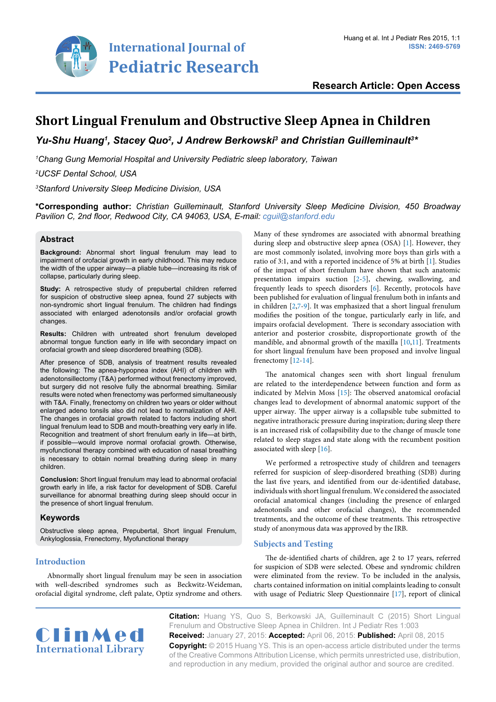

**Research Article: Open Access**

# **Short Lingual Frenulum and Obstructive Sleep Apnea in Children**

Yu-Shu Huang<sup>1</sup>, Stacey Quo<sup>2</sup>, J Andrew Berkowski<sup>3</sup> and Christian Guilleminault<sup>3</sup>\*

*1 Chang Gung Memorial Hospital and University Pediatric sleep laboratory, Taiwan*

*2 UCSF Dental School, USA*

*3 Stanford University Sleep Medicine Division, USA*

**\*Corresponding author:** *Christian Guilleminault, Stanford University Sleep Medicine Division, 450 Broadway Pavilion C, 2nd floor, Redwood City, CA 94063, USA, E-mail: cguil@stanford.edu*

## **Abstract**

**Background:** Abnormal short lingual frenulum may lead to impairment of orofacial growth in early childhood. This may reduce the width of the upper airway—a pliable tube—increasing its risk of collapse, particularly during sleep.

**Study:** A retrospective study of prepubertal children referred for suspicion of obstructive sleep apnea, found 27 subjects with non-syndromic short lingual frenulum. The children had findings associated with enlarged adenotonsils and/or orofacial growth changes.

**Results:** Children with untreated short frenulum developed abnormal tongue function early in life with secondary impact on orofacial growth and sleep disordered breathing (SDB).

After presence of SDB, analysis of treatment results revealed the following: The apnea-hypopnea index (AHI) of children with adenotonsillectomy (T&A) performed without frenectomy improved, but surgery did not resolve fully the abnormal breathing. Similar results were noted when frenectomy was performed simultaneously with T&A. Finally, frenectomy on children two years or older without enlarged adeno tonsils also did not lead to normalization of AHI. The changes in orofacial growth related to factors including short lingual frenulum lead to SDB and mouth-breathing very early in life. Recognition and treatment of short frenulum early in life—at birth, if possible—would improve normal orofacial growth. Otherwise, myofunctional therapy combined with education of nasal breathing is necessary to obtain normal breathing during sleep in many children.

**Conclusion:** Short lingual frenulum may lead to abnormal orofacial growth early in life, a risk factor for development of SDB. Careful surveillance for abnormal breathing during sleep should occur in the presence of short lingual frenulum.

# **Keywords**

Obstructive sleep apnea, Prepubertal, Short lingual Frenulum, Ankyloglossia, Frenectomy, Myofunctional therapy

**Introduction**

Abnormally short lingual frenulum may be seen in association with well-described syndromes such as Beckwitz-Weideman, orofacial digital syndrome, cleft palate, Optiz syndrome and others.

Many of these syndromes are associated with abnormal breathing during sleep and obstructive sleep apnea (OSA) [\[1](#page-3-0)]. However, they are most commonly isolated, involving more boys than girls with a ratio of 3:1, and with a reported incidence of 5% at birth [[1](#page-3-0)]. Studies of the impact of short frenulum have shown that such anatomic presentation impairs suction [\[2-](#page-3-1)[5](#page-3-2)], chewing, swallowing, and frequently leads to speech disorders [[6](#page-3-3)]. Recently, protocols have been published for evaluation of lingual frenulum both in infants and in children  $[2,7-9]$  $[2,7-9]$  $[2,7-9]$  $[2,7-9]$ . It was emphasized that a short lingual frenulum modifies the position of the tongue, particularly early in life, and impairs orofacial development. There is secondary association with anterior and posterior crossbite, disproportionate growth of the mandible, and abnormal growth of the maxilla [[10](#page-3-6)[,11](#page-3-7)]. Treatments for short lingual frenulum have been proposed and involve lingual frenectomy [\[12-](#page-3-8)[14\]](#page-3-9).

The anatomical changes seen with short lingual frenulum are related to the interdependence between function and form as indicated by Melvin Moss [\[15\]](#page-3-10): The observed anatomical orofacial changes lead to development of abnormal anatomic support of the upper airway. The upper airway is a collapsible tube submitted to negative intrathoracic pressure during inspiration; during sleep there is an increased risk of collapsibility due to the change of muscle tone related to sleep stages and state along with the recumbent position associated with sleep [[16](#page-3-11)].

We performed a retrospective study of children and teenagers referred for suspicion of sleep-disordered breathing (SDB) during the last five years, and identified from our de-identified database, individuals with short lingual frenulum. We considered the associated orofacial anatomical changes (including the presence of enlarged adenotonsils and other orofacial changes), the recommended treatments, and the outcome of these treatments. This retrospective study of anonymous data was approved by the IRB.

# **Subjects and Testing**

The de-identified charts of children, age 2 to 17 years, referred for suspicion of SDB were selected. Obese and syndromic children were eliminated from the review. To be included in the analysis, charts contained information on initial complaints leading to consult with usage of Pediatric Sleep Questionnaire [[17](#page-3-12)], report of clinical



**Citation:** Huang YS, Quo S, Berkowski JA, Guilleminault C (2015) Short Lingual Frenulum and Obstructive Sleep Apnea in Children. Int J Pediatr Res 1:003 **Received:** January 27, 2015: **Accepted:** April 06, 2015: **Published:** April 08, 2015 **Copyright:** © 2015 Huang YS. This is an open-access article distributed under the terms of the Creative Commons Attribution License, which permits unrestricted use, distribution, and reproduction in any medium, provided the original author and source are credited.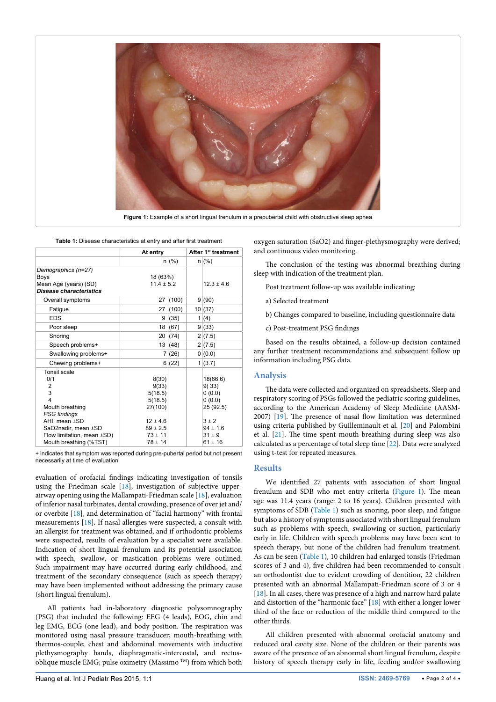

**Figure 1:** Example of a short lingual frenulum in a prepubertal child with obstructive sleep apnea

<span id="page-1-1"></span>

|                                                                                                              | At entry                                                   |       | After 1 <sup>st</sup> treatment |                                                        |
|--------------------------------------------------------------------------------------------------------------|------------------------------------------------------------|-------|---------------------------------|--------------------------------------------------------|
|                                                                                                              |                                                            | n (%) |                                 | n (%)                                                  |
| Demographics (n=27)<br><b>Boys</b><br>Mean Age (years) (SD)                                                  | 18 (63%)<br>$11.4 \pm 5.2$                                 |       |                                 | $12.3 \pm 4.6$                                         |
| <b>Disease characteristics</b>                                                                               |                                                            |       |                                 |                                                        |
| Overall symptoms                                                                                             | 27                                                         | (100) |                                 | 9(90)                                                  |
| Fatigue                                                                                                      | 27                                                         | (100) |                                 | 10(37)                                                 |
| <b>EDS</b>                                                                                                   | 9                                                          | (35)  |                                 | 1(4)                                                   |
| Poor sleep                                                                                                   | 18                                                         | (67)  |                                 | 9(33)                                                  |
| Snoring                                                                                                      | 20                                                         | (74)  |                                 | 2(7.5)                                                 |
| Speech problems+                                                                                             | 13                                                         | (48)  |                                 | 2(7.5)                                                 |
| Swallowing problems+                                                                                         | 7 <sup>1</sup>                                             | (26)  |                                 | 0(0.0)                                                 |
| Chewing problems+                                                                                            |                                                            | 6(22) |                                 | 1(3.7)                                                 |
| Tonsil scale<br>0/1<br>2<br>3<br>$\overline{4}$<br>Mouth breathing                                           | 8(30)<br>9(33)<br>5(18.5)<br>5(18.5)<br>27(100)            |       |                                 | 18(66.6)<br>9(33)<br>0(0.0)<br>0(0.0)<br>25 (92.5)     |
| PSG findings<br>AHI, mean ±SD<br>SaO2nadir, mean ±SD<br>Flow limitation, mean ±SD)<br>Mouth breathing (%TST) | $12 \pm 4.6$<br>$89 \pm 2.5$<br>$73 \pm 11$<br>$78 \pm 14$ |       |                                 | $3 \pm 2$<br>$94 \pm 1.6$<br>$31 \pm 9$<br>$61 \pm 16$ |

<span id="page-1-0"></span>٦

evaluation of orofacial findings indicating investigation of tonsils using the Friedman scale [[18](#page-3-17)], investigation of subjective upperairway opening using the Mallampati-Friedman scale [\[18](#page-3-17)], evaluation of inferior nasal turbinates, dental crowding, presence of over jet and/ or overbite [[18](#page-3-17)], and determination of "facial harmony" with frontal measurements [[18\]](#page-3-17). If nasal allergies were suspected, a consult with an allergist for treatment was obtained, and if orthodontic problems were suspected, results of evaluation by a specialist were available. Indication of short lingual frenulum and its potential association with speech, swallow, or mastication problems were outlined. Such impairment may have occurred during early childhood, and treatment of the secondary consequence (such as speech therapy) may have been implemented without addressing the primary cause (short lingual frenulum).

All patients had in-laboratory diagnostic polysomnography (PSG) that included the following: EEG (4 leads), EOG, chin and leg EMG, ECG (one lead), and body position. The respiration was monitored using nasal pressure transducer; mouth-breathing with thermos-couple; chest and abdominal movements with inductive plethysmography bands, diaphragmatic-intercostal, and rectusoblique muscle EMG; pulse oximetry (Massimo TM) from which both

oxygen saturation (SaO2) and finger-plethysmography were derived; and continuous video monitoring.

The conclusion of the testing was abnormal breathing during sleep with indication of the treatment plan.

Post treatment follow-up was available indicating:

- a) Selected treatment
- b) Changes compared to baseline, including questionnaire data
- c) Post-treatment PSG findings

Based on the results obtained, a follow-up decision contained any further treatment recommendations and subsequent follow up information including PSG data.

## **Analysis**

The data were collected and organized on spreadsheets. Sleep and respiratory scoring of PSGs followed the pediatric scoring guidelines, according to the American Academy of Sleep Medicine (AASM-2007) [[19\]](#page-3-13). The presence of nasal flow limitation was determined using criteria published by Guilleminault et al. [[20](#page-3-14)] and Palombini et al. [[21](#page-3-15)]. The time spent mouth-breathing during sleep was also calculated as a percentage of total sleep time [\[22\]](#page-3-16). Data were analyzed using t-test for repeated measures.

#### **Results**

We identified 27 patients with association of short lingual frenulum and SDB who met entry criteria [\(Figure 1\)](#page-1-0). The mean age was 11.4 years (range: 2 to 16 years). Children presented with symptoms of SDB [\(Table 1](#page-1-1)) such as snoring, poor sleep, and fatigue but also a history of symptoms associated with short lingual frenulum such as problems with speech, swallowing or suction, particularly early in life. Children with speech problems may have been sent to speech therapy, but none of the children had frenulum treatment. As can be seen ([Table 1](#page-1-1)), 10 children had enlarged tonsils (Friedman scores of 3 and 4), five children had been recommended to consult an orthodontist due to evident crowding of dentition, 22 children presented with an abnormal Mallampati-Friedman score of 3 or 4 [[18](#page-3-17)]. In all cases, there was presence of a high and narrow hard palate and distortion of the "harmonic face" [[18](#page-3-17)] with either a longer lower third of the face or reduction of the middle third compared to the other thirds.

All children presented with abnormal orofacial anatomy and reduced oral cavity size. None of the children or their parents was aware of the presence of an abnormal short lingual frenulum, despite history of speech therapy early in life, feeding and/or swallowing

<sup>+</sup> indicates that symptom was reported during pre-pubertal period but not present necessarily at time of evaluation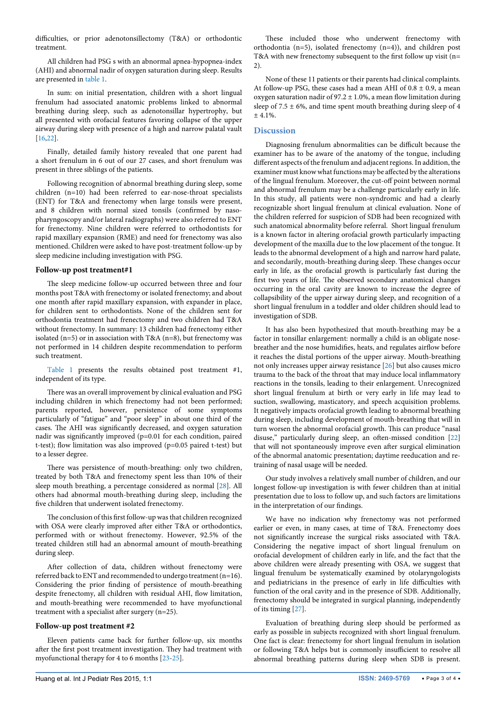difficulties, or prior adenotonsillectomy (T&A) or orthodontic treatment.

All children had PSG s with an abnormal apnea-hypopnea-index (AHI) and abnormal nadir of oxygen saturation during sleep. Results are presented in [table 1](#page-1-1).

In sum: on initial presentation, children with a short lingual frenulum had associated anatomic problems linked to abnormal breathing during sleep, such as adenotonsillar hypertrophy, but all presented with orofacial features favoring collapse of the upper airway during sleep with presence of a high and narrow palatal vault [[16](#page-3-11)[,22\]](#page-3-16).

Finally, detailed family history revealed that one parent had a short frenulum in 6 out of our 27 cases, and short frenulum was present in three siblings of the patients.

Following recognition of abnormal breathing during sleep, some children (n=10) had been referred to ear-nose-throat specialists (ENT) for T&A and frenectomy when large tonsils were present, and 8 children with normal sized tonsils (confirmed by nasopharyngoscopy and/or lateral radiographs) were also referred to ENT for frenectomy. Nine children were referred to orthodontists for rapid maxillary expansion (RME) and need for frenectomy was also mentioned. Children were asked to have post-treatment follow-up by sleep medicine including investigation with PSG.

## **Follow-up post treatment#1**

The sleep medicine follow-up occurred between three and four months post T&A with frenectomy or isolated frenectomy; and about one month after rapid maxillary expansion, with expander in place, for children sent to orthodontists. None of the children sent for orthodontia treatment had frenectomy and two children had T&A without frenectomy. In summary: 13 children had frenectomy either isolated (n=5) or in association with T&A (n=8), but frenectomy was not performed in 14 children despite recommendation to perform such treatment.

[Table 1](#page-1-1) presents the results obtained post treatment #1, independent of its type.

There was an overall improvement by clinical evaluation and PSG including children in which frenectomy had not been performed; parents reported, however, persistence of some symptoms particularly of "fatigue" and "poor sleep" in about one third of the cases. The AHI was significantly decreased, and oxygen saturation nadir was significantly improved (p=0.01 for each condition, paired t-test); flow limitation was also improved (p=0.05 paired t-test) but to a lesser degree.

There was persistence of mouth-breathing: only two children, treated by both T&A and frenectomy spent less than 10% of their sleep mouth breathing, a percentage considered as normal [\[28\]](#page-3-18). All others had abnormal mouth-breathing during sleep, including the five children that underwent isolated frenectomy.

The conclusion of this first follow-up was that children recognized with OSA were clearly improved after either T&A or orthodontics, performed with or without frenectomy. However, 92.5% of the treated children still had an abnormal amount of mouth-breathing during sleep.

After collection of data, children without frenectomy were referred back to ENT and recommended to undergo treatment (n=16). Considering the prior finding of persistence of mouth-breathing despite frenectomy, all children with residual AHI, flow limitation, and mouth-breathing were recommended to have myofunctional treatment with a specialist after surgery (n=25).

#### **Follow-up post treatment #2**

Eleven patients came back for further follow-up, six months after the first post treatment investigation. They had treatment with myofunctional therapy for 4 to 6 months [[23-](#page-3-19)[25](#page-3-20)].

These included those who underwent frenectomy with orthodontia (n=5), isolated frenectomy (n=4)), and children post T&A with new frenectomy subsequent to the first follow up visit (n= 2).

None of these 11 patients or their parents had clinical complaints. At follow-up PSG, these cases had a mean AHI of  $0.8 \pm 0.9$ , a mean oxygen saturation nadir of 97.2  $\pm$  1.0%, a mean flow limitation during sleep of  $7.5 \pm 6\%$ , and time spent mouth breathing during sleep of 4  $+4.1\%$ 

## **Discussion**

Diagnosing frenulum abnormalities can be difficult because the examiner has to be aware of the anatomy of the tongue, including different aspects of the frenulum and adjacent regions. In addition, the examiner must know what functions may be affected by the alterations of the lingual frenulum. Moreover, the cut-off point between normal and abnormal frenulum may be a challenge particularly early in life. In this study, all patients were non-syndromic and had a clearly recognizable short lingual frenulum at clinical evaluation. None of the children referred for suspicion of SDB had been recognized with such anatomical abnormality before referral. Short lingual frenulum is a known factor in altering orofacial growth particularly impacting development of the maxilla due to the low placement of the tongue. It leads to the abnormal development of a high and narrow hard palate, and secondarily, mouth-breathing during sleep. These changes occur early in life, as the orofacial growth is particularly fast during the first two years of life. The observed secondary anatomical changes occurring in the oral cavity are known to increase the degree of collapsibility of the upper airway during sleep, and recognition of a short lingual frenulum in a toddler and older children should lead to investigation of SDB.

It has also been hypothesized that mouth-breathing may be a factor in tonsillar enlargement: normally a child is an obligate nosebreather and the nose humidifies, heats, and regulates airflow before it reaches the distal portions of the upper airway. Mouth-breathing not only increases upper airway resistance [[26\]](#page-3-21) but also causes micro trauma to the back of the throat that may induce local inflammatory reactions in the tonsils, leading to their enlargement. Unrecognized short lingual frenulum at birth or very early in life may lead to suction, swallowing, masticatory, and speech acquisition problems. It negatively impacts orofacial growth leading to abnormal breathing during sleep, including development of mouth-breathing that will in turn worsen the abnormal orofacial growth. This can produce "nasal disuse," particularly during sleep, an often-missed condition [[22\]](#page-3-16) that will not spontaneously improve even after surgical elimination of the abnormal anatomic presentation; daytime reeducation and retraining of nasal usage will be needed.

Our study involves a relatively small number of children, and our longest follow-up investigation is with fewer children than at initial presentation due to loss to follow up, and such factors are limitations in the interpretation of our findings.

We have no indication why frenectomy was not performed earlier or even, in many cases, at time of T&A. Frenectomy does not significantly increase the surgical risks associated with T&A. Considering the negative impact of short lingual frenulum on orofacial development of children early in life, and the fact that the above children were already presenting with OSA, we suggest that lingual frenulum be systematically examined by otolaryngologists and pediatricians in the presence of early in life difficulties with function of the oral cavity and in the presence of SDB. Additionally, frenectomy should be integrated in surgical planning, independently of its timing [[27](#page-3-22)].

Evaluation of breathing during sleep should be performed as early as possible in subjects recognized with short lingual frenulum. One fact is clear: frenectomy for short lingual frenulum in isolation or following T&A helps but is commonly insufficient to resolve all abnormal breathing patterns during sleep when SDB is present.